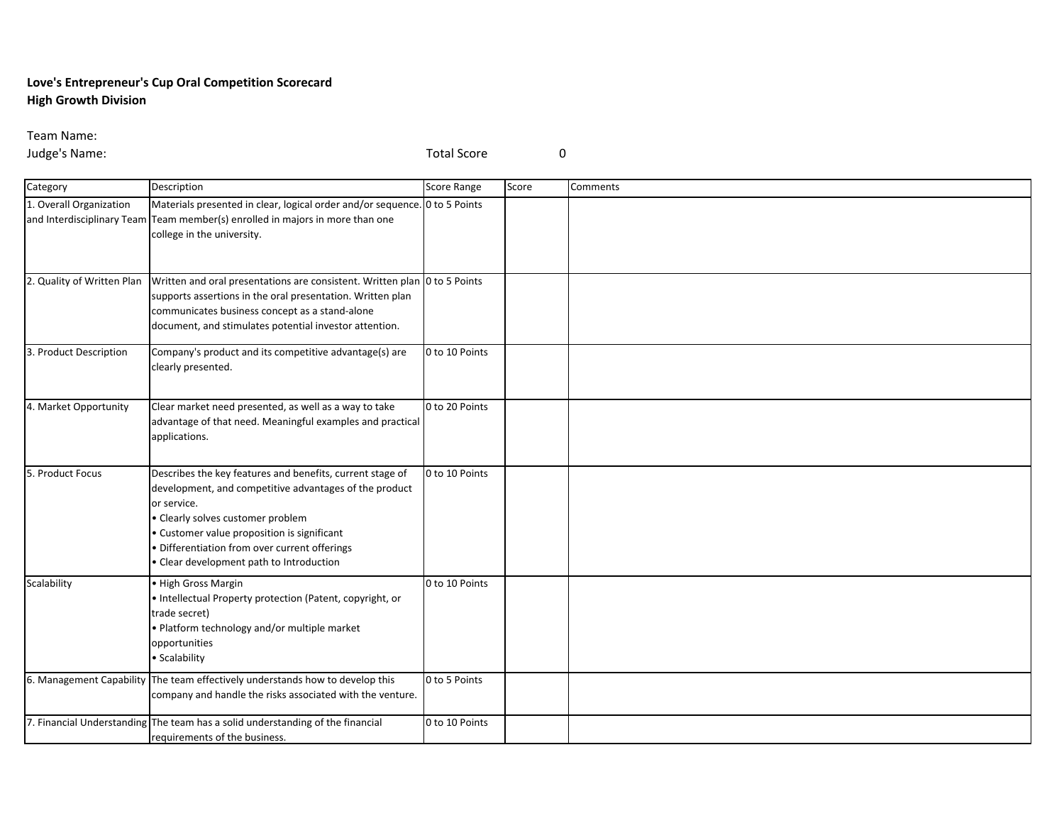## **Love's Entrepreneur's Cup Oral Competition Scorecard High Growth Division**

Team Name:

Judge's Name: Total Score 0

| Category                   | Description                                                                                                                                                                                                                                                                                                     | <b>Score Range</b> | Score | Comments |
|----------------------------|-----------------------------------------------------------------------------------------------------------------------------------------------------------------------------------------------------------------------------------------------------------------------------------------------------------------|--------------------|-------|----------|
| 1. Overall Organization    | Materials presented in clear, logical order and/or sequence. 0 to 5 Points<br>and Interdisciplinary Team Team member(s) enrolled in majors in more than one<br>college in the university.                                                                                                                       |                    |       |          |
| 2. Quality of Written Plan | Written and oral presentations are consistent. Written plan 0 to 5 Points<br>supports assertions in the oral presentation. Written plan<br>communicates business concept as a stand-alone<br>document, and stimulates potential investor attention.                                                             |                    |       |          |
| 3. Product Description     | Company's product and its competitive advantage(s) are<br>clearly presented.                                                                                                                                                                                                                                    | 0 to 10 Points     |       |          |
| 4. Market Opportunity      | Clear market need presented, as well as a way to take<br>advantage of that need. Meaningful examples and practical<br>applications.                                                                                                                                                                             | 0 to 20 Points     |       |          |
| 5. Product Focus           | Describes the key features and benefits, current stage of<br>development, and competitive advantages of the product<br>or service.<br>• Clearly solves customer problem<br>· Customer value proposition is significant<br>Differentiation from over current offerings<br>Clear development path to Introduction | 0 to 10 Points     |       |          |
| Scalability                | • High Gross Margin<br>• Intellectual Property protection (Patent, copyright, or<br>trade secret)<br>· Platform technology and/or multiple market<br>opportunities<br>• Scalability                                                                                                                             | 0 to 10 Points     |       |          |
|                            | 6. Management Capability The team effectively understands how to develop this<br>company and handle the risks associated with the venture.                                                                                                                                                                      | 0 to 5 Points      |       |          |
|                            | 7. Financial Understanding The team has a solid understanding of the financial<br>requirements of the business.                                                                                                                                                                                                 | 0 to 10 Points     |       |          |